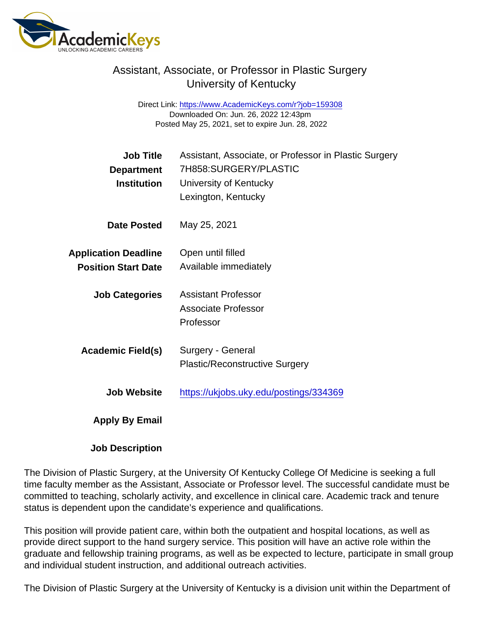## Assistant, Associate, or Professor in Plastic Surgery University of Kentucky

Direct Link: <https://www.AcademicKeys.com/r?job=159308> Downloaded On: Jun. 26, 2022 12:43pm Posted May 25, 2021, set to expire Jun. 28, 2022

| Job Title                   | Assistant, Associate, or Professor in Plastic Surgery |
|-----------------------------|-------------------------------------------------------|
| Department                  | 7H858:SURGERY/PLASTIC                                 |
| Institution                 | University of Kentucky                                |
|                             | Lexington, Kentucky                                   |
| Date Posted                 | May 25, 2021                                          |
| <b>Application Deadline</b> | Open until filled                                     |
| <b>Position Start Date</b>  | Available immediately                                 |
| <b>Job Categories</b>       | <b>Assistant Professor</b>                            |
|                             | <b>Associate Professor</b>                            |
|                             | Professor                                             |
| Academic Field(s)           | Surgery - General                                     |
|                             | <b>Plastic/Reconstructive Surgery</b>                 |
| Job Website                 | https://ukjobs.uky.edu/postings/334369                |
| Apply By Email              |                                                       |

Job Description

The Division of Plastic Surgery, at the University Of Kentucky College Of Medicine is seeking a full time faculty member as the Assistant, Associate or Professor level. The successful candidate must be committed to teaching, scholarly activity, and excellence in clinical care. Academic track and tenure status is dependent upon the candidate's experience and qualifications.

This position will provide patient care, within both the outpatient and hospital locations, as well as provide direct support to the hand surgery service. This position will have an active role within the graduate and fellowship training programs, as well as be expected to lecture, participate in small group and individual student instruction, and additional outreach activities.

The Division of Plastic Surgery at the University of Kentucky is a division unit within the Department of